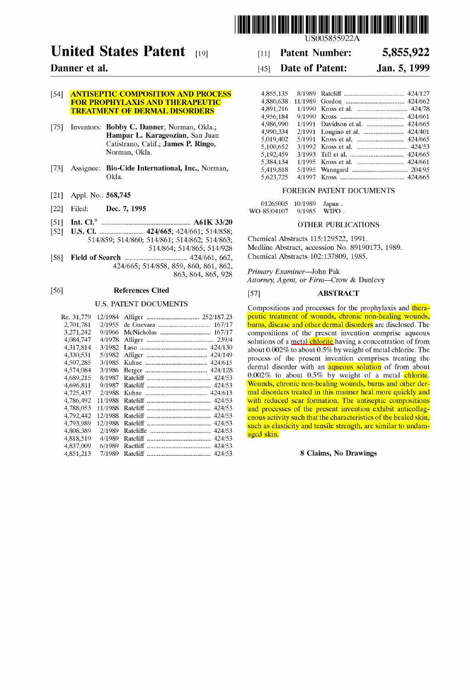

# **United States Patent** [19]

# **Danner et al.**

## [54] **ANTISEPTIC COMPOSITION AND PROCESS** FOR PROPHYLAXIS AND THERAPEUTIC TREATMENT OF DERMAL DISORDERS

- [75] Inventors: Bobby C. Danner, Norman, Okla.; Hampar L. Karageozian, San Juan Catistrano, Calif.; James P. Ringo, Norman, Okla.
- [73] Assignee: Bio-Cide International, Ine., Norman, Okla.
- [21] Appl. No.: 568,745
- [22] Filed: **Dec. 7, 1995**
- [51] Int. CI.6 ..................................................... A61K 33/20
- [52] U.S. CI. .......................... 424/665; 424/661; 514/858; 514/859; 514/860; 514/861; 514/862; 514/863; 514/864; 514/865; 514/928
- [58] Field of Seareh ..................................... 424/661, 662, 424/665; 514/858, 859, 860, 861, 862, 863, 864, 865, 928

#### [56] Referenees Cited

# U.S. PATENT DOCUMENTS

| Re. 31,779 | 12/1984 |                      |
|------------|---------|----------------------|
| 2,701,781  | 2/1955  | 167/17               |
| 3,271,242  | 9/1966  | McNicholas<br>167/17 |
| 4,084,747  | 4/1978  |                      |
| 4,317,814  | 3/1982  | 424/130              |
| 4,330,531  | 5/1982  | 424/149              |
| 4,507,285  | 3/1985  | 424/615              |
| 4,574,084  | 3/1986  | 424/128              |
| 4,689,215  | 8/1987  | 424/53               |
| 4,696,811  | 9/1987  | 424/53               |
| 4,725,437  | 2/1988  | 424/613              |
| 4,786,492  | 11/1988 | 424/53               |
| 4,788,053  | 11/1988 | 424/53<br>Ratcliff   |
| 4,792,442  | 12/1988 | 424/53<br>Ratcliff   |
| 4,793,989  | 12/1988 | 424/53               |
| 4,808,389  | 2/1989  | 424/53               |
| 4,818,519  | 4/1989  | 424/53               |
| 4,837,009  | 6/1989  | 424/53               |
| 4,851,213  | 7/1989  | 424/53               |
|            |         |                      |

US005855922A

#### [11] **Patent Number: 5,855,922**

#### [45] **Date of Patent: Jan. 5, 1999**

| 4,855,135 |                                 |
|-----------|---------------------------------|
| 4,880,638 |                                 |
| 4,891,216 |                                 |
| 4,956,184 |                                 |
| 4,986,990 | 1/1991 Davidson et al.  424/665 |
| 4,990,334 |                                 |
| 5,019,402 |                                 |
| 5,100,652 |                                 |
| 5,192,459 |                                 |
| 5.384.134 | 1/1995 Kross et al.  424/661    |
| 5,419,818 |                                 |
| 5,623,725 |                                 |
|           |                                 |

#### FOREIGN PATENT DOCUMENTS

| 01265005    | 10/1989 | Japan. |
|-------------|---------|--------|
| WO 85/04107 | 9/1985  | WIPO.  |

#### OTHER PUBLICATIONS

Chemical Abstracts 115:129522, 1991. Medline Abstract, accession No. 89190173, 1989. Chemical Abstracts 102:137809, 1985.

*Primary Examiner-John* Pak *Attorney, Agent, or Firm-Crow* & Dunlevy

## [57] ABSTRACT

Compositions and processes for the prophylaxis and therapeutic treatment of wounds, chronic non-healing wounds, burns, disease and other dermal disorders are disclosed. The compositions of the present invention comprise aqueous solutions of a metal *chlorite* having a concentration of from about 0.002% to about 0.5% by weight of metal chlorite. The process of the present invention comprises treating the dermal disorder with an **aqueous solution** of from about 0.002% to about 0.5% by weight of a metal chlorite. Wounds, chronic non-healing wounds, burns and other dermal disorders treated in this manner heal more quickly and with reduced scar formation. The antiseptic compositions and processes of the present invention exhibit anticollagenous activity such that the characteristics of the healed skin, such as elasticity and tensile strength, are similar to undamaged skin.

8 Claims, No Drawings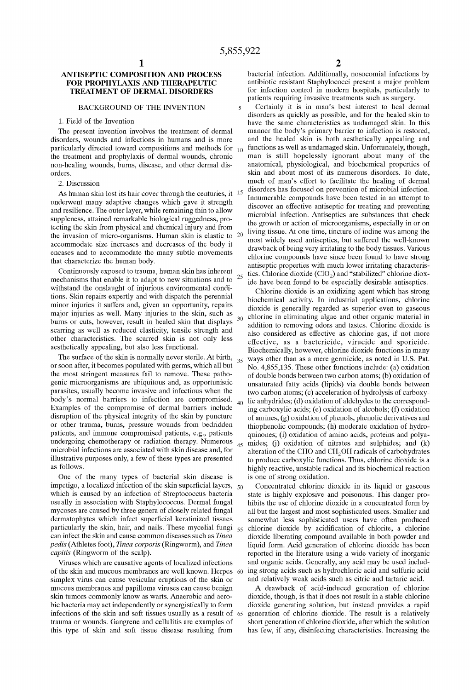5

# ANTISEPTIC COMPOSITION AND PROCESS FOR PROPHYLAXIS AND THERAPEUTIC TREATMENT OF DERMAL DISORDERS

#### BACKGROUND OF THE INVENTION

#### 1. Field of the Invention

The present invention involves the treatment of dermal disorders, wounds and infections in humans and is more particularly directed toward compositions and methods for  $_{10}$ the treatment and prophylaxis of dermal wounds, chronic non-healing wounds, burns, disease, and other dermal disorders.

#### 2. Discussion

As human skin lost its hair cover through the centuries, it <sup>15</sup> underwent many adaptive changes which gave it strength and resilience. The outer layer, while remaining thin to allow suppleness, attained remarkable biological ruggedness, protecting the skin from physical and chemical injury and from the invasion of micro-organisms. Human skin is elastic to accommodate size increases and decreases of the body it encases and to accommodate the many subtle movements that characterize the human body.

Continuously exposed to trauma, human skin has inherent mechanisms that enable it to adapt to new situations and to withstand the onslaught of injurious environmental conditions. Skin repairs expertly and with dispatch the perennial minor injuries it suffers and, given an opportunity, repairs major injuries as well. Many injuries to the skin, such as burns or cuts, however, result in healed skin that displays scarring as well as reduced elasticity, tensile strength and other characteristics. The scarred skin is not only less aesthetically appealing, but also less functional.

The surface of the skin is normally never sterile. At birth, or soon after, it becomes populated with germs, which all but the most stringent measures fail to remove. These pathogenic microorganisms are ubiquitous and, as opportunistic parasites, usually become invasive and infectious when the body's normal barriers to infection are compromised. Examples of the compromise of dermal barriers include disruption of the physical integrity of the skin by puncture or other trauma, burns, pressure wounds from bedridden patients, and immune compromised patients, e.g., patients undergoing chemotherapy or radiation therapy. Numerous microbial infections are associated with skin disease and, for illustrative purposes only, a few of these types are presented as follows.

One of the many types of bacterial skin disease is impetigo, a localized infection of the skin superficial layers,  $50$ which is caused by an infection of Streptococcus bacteria usually in association with Staphylococcus. Dermal fungal mycoses are caused by three genera of closely related fungal dermatophytes which infect superficial keratinized tissues particularly the skin, hair, and nails. These mycelial fungi 55 can infect the skin and cause common diseases such as *Tinea pedis* (Athletes foot), *Tinea corporis* (Ringworm), and *Tinea capitis* (Ringworm of the scalp).

of the skin and mucous membranes are well known. Herpes simplex virus can cause vesicular eruptions of the skin or mucous membranes and papilloma viruses can cause benign skin tumors commonly know as warts. Anaerobic and aerobic bacteria may act independently or synergistically to form infections of the skin and soft tissues usually as a result of trauma or wounds. Gangrene and cellulitis are examples of this type of skin and soft tissue disease resulting from

2

bacterial infection. Additionally, nosocomial infections by antibiotic resistant Staphylococci present a major problem for infection control in modern hospitals, particularly to patients requiring invasive treatments such as surgery.

Certainly it is in man's best interest to heal dermal disorders as quickly as possible, and for the healed skin to have the same characteristics as undamaged skin. In this manner the body's primary barrier to infection is restored, and the healed skin is both aesthetically appealing and functions as well as undamaged skin. Unfortunately, though, man is still hopelessly ignorant about many of the anatomical, physiological, and biochemical properties of skin and about most of its numerous disorders. To date, much of man's effort to facilitate the healing of dermal disorders has focused on prevention of microbial infection. Innumerable compounds have been tested in an attempt to discover an effective antiseptic for treating and preventing microbial infection. Antiseptics are substances that check the growth or action of microorganisms, especially in or on living tissue. At one time, tincture of iodine was among the most widely used antiseptics, but suffered the well-known drawback of being very irritating to the body tissues. Various chlorine compounds have since been found to have strong antiseptic properties with much lower irritating characteris- $_{25}$  tics. Chlorine dioxide (ClO<sub>2</sub>) and "stabilized" chlorine dioxide have been found to be especially desirable antiseptics.

Chlorine dioxide is an oxidizing agent which has strong biochemical activity. In industrial applications, chlorine dioxide is generally regarded as superior even to gaseous 30 chlorine in eliminating algae and other organic material in addition to removing odors and tastes. Chlorine dioxide is also considered as effective as chlorine gas, if not more effective, as a bactericide, virucide and sporicide. Biochemically, however, chlorine dioxide functions in many 35 ways other than as a mere germicide, as noted in U.S. Pat. No. 4,855,135. These other functions include: (a) oxidation of double bonds between two carbon atoms; (b) oxidation of unsaturated fatty acids (lipids) via double bonds between two carbon atoms; (c) acceleration of hydrolysis of carboxy- $_{40}$  lic anhydrides; (d) oxidation of aldehydes to the corresponding carboxylic acids; (e) oxidation of alcohols; (f) oxidation of amines; (g) oxidation of phenols, phenolic derivatives and thiophenolic compounds; (h) moderate oxidation of hydroquinones; (i) oxidation of amino acids, proteins and polya- $_{45}$  mides; (j) oxidation of nitrates and sulphides; and (k) alteration of the CHO and CH<sub>2</sub>OH radicals of carbohydrates to produce carboxylic functions. Thus, chlorine dioxide is a highly reactive, unstable radical and its biochemical reaction is one of strong oxidation.

Concentrated chlorine dioxide in its liquid or gaseous state is highly explosive and poisonous. This danger prohibits the use of chlorine dioxide in a concentrated form by all but the largest and most sophisticated users. Smaller and somewhat less sophisticated users have often produced 55 chlorine dioxide by acidification of chlorite, a chlorine dioxide liberating compound available in both powder and liquid form. Acid generation of chlorine dioxide has been reported in the literature using a wide variety of inorganic Viruses which are causative agents of localized infections and organic acids. Generally, any acid may be used including strong acids such as hydrochloric acid and sulfuric acid and relatively weak acids such as citric and tartaric acid.

A drawback of acid-induced generation of chlorine dioxide, though, is that it does not result in a stable chlorine dioxide generating solution, but instead provides a rapid 65 generation of chlorine dioxide. The result is a relatively short generation of chlorine dioxide, after which the solution has few, if any, disinfecting characteristics. Increasing the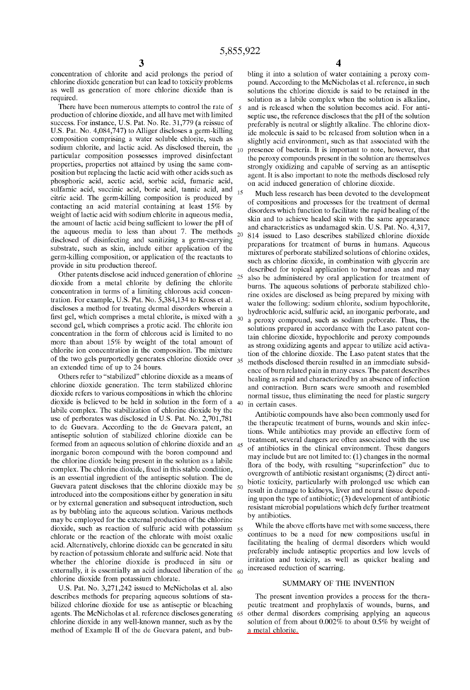concentration of chlorite and acid prolongs the period of chlorine dioxide generation but can lead to toxicity problems as well as generation of more chlorine dioxide than is required.

There have been numerous attempts to control the rate of  $5$ production of chlorine dioxide, and all have met with limited success. For instance, U.S. Pat. No. Re. 31,779 (a reissue of U.S. Pat. No. 4,084,747) to Alliger discloses a germ-killing composition comprising a water soluble chlorite, such as sodium chlorite, and lactic acid. As disclosed therein, the  $_{10}$ particular composition possesses improved disinfectant properties, properties not attained by using the same composition but replacing the lactic acid with other acids such as phosphoric acid, acetic acid, sorbic acid, fumaric acid, sulfamic acid, succinic acid, boric acid, tannic acid, and  $_{15}$ citric acid. The germ-killing composition is produced by contacting an acid material containing at least 15% by weight of lactic acid with sodium chlorite in aqueous media, the amount of lactic acid being sufficient to lower the pH of the aqueous media to less than about 7. The methods  $_{20}$ disclosed of disinfecting and sanitizing a germ-carrying substrate, such as skin, include either application of the germ-killing composition, or application of the reactants to provide in situ production thereof.

Other patents disclose acid induced generation of chlorine  $_{25}$ dioxide from a metal chlorite by defining the chlorite concentration in terms of a limiting chlorous acid concentration. For example, U.S. Pat. No. 5,384,134 to Kross et al. discloses a method for treating dermal disorders wherein a first gel, which comprises a metal chlorite, is mixed with a  $_{30}$ second gel, which comprises a protic acid. The chlorite ion concentration in the form of chlorous acid is limited to no more than about 15% by weight of the total amount of chlorite ion concentration in the composition. The mixture of the two gels purportedly generates chlorine dioxide over  $_{35}$ an extended time of up to 24 hours.

Others refer to "stabilized" chlorine dioxide as a means of chlorine dioxide generation. The term stabilized chlorine dioxide refers to various compositions in which the chlorine dioxide is believed to be held in solution in the form of a  $_{40}$ labile complex. The stabilization of chlorine dioxide by the use of perborates was disclosed in U.S. Pat. No. 2,701,781 to de Guevara. According to the de Guevara patent, an antiseptic solution of stabilized chlorine dioxide can be formed from an aqueous solution of chlorine dioxide and an 45 inorganic boron compound with the boron compound and the chlorine dioxide being present in the solution as a labile complex. The chlorine dioxide, fixed in this stable condition, is an essential ingredient of the antiseptic solution. The de Guevara patent discloses that the chlorine dioxide may be 50 introduced into the compositions either by generation in situ or by external generation and subsequent introduction, such as by bubbling into the aqueous solution. Various methods may be employed for the external production of the chlorine dioxide, such as reaction of sulfuric acid with potassium  $55$ chlorate or the reaction of the chlorate with moist oxalic acid. Alternatively, chlorine dioxide can be generated in situ by reaction of potassium chlorate and sulfuric acid. Note that whether the chlorine dioxide is produced in situ or externally, it is essentially an acid induced liberation of the  $60$ chlorine dioxide from potassium chlorate.

U.S. Pat. No. 3,271,242 issued to McNicholas et al. also describes methods for preparing aqueous solutions of stabilized chlorine dioxide for use as antiseptic or bleaching agents. The McNicholas et al. reference discloses generating 65 chlorine dioxide in any well-known manner, such as by the method of Example 11 of the de Guevara patent, and bub4

bling it into a solution of water containing a peroxy compound. According to the McNicholas et al. reference, in such solutions the chlorine dioxide is said to be retained in the solution as a labile complex when the solution is alkaline, and is released when the solution becomes acid. For antiseptic use, the reference discloses that the pH of the solution preferably is neutral or slightly alkaline. The chlorine dioxide molecule is said to be released from solution when in a slightly acid environment, such as that associated with the presence of bacteria. It is important to note, however, that the peroxy compounds present in the solution are themselves strongly oxidizing and capable of serving as an antiseptic agent. It is also important to note the methods disclosed rely on acid induced generation of chlorine dioxide.

Much less research has been devoted to the development of compositions and processes for the treatment of dermal disorders which function to facilitate the rapid healing of the skin and to achieve healed skin with the same appearance and characteristics as undamaged skin. U.S. Pat. No. 4,317, 814 issued to Laso describes stabilized chlorine dioxide preparations for treatment of burns in humans. Aqueous mixtures of perborate stabilized solutions of chlorine oxides, such as chlorine dioxide, in combination with glycerin are described for topical application to burned areas and may also be administered by oral application for treatment of burns. The aqueous solutions of perborate stabilized chlorine oxides are disclosed as being prepared by mixing with water the following: sodium chlorite, sodium hypochlorite, hydrochloric acid, sulfuric acid, an inorganic perborate, and a peroxy compound, such as sodium perborate. Thus, the solutions prepared in accordance with the Laso patent contain chlorine dioxide, hypochlorite and peroxy compounds as strong oxidizing agents and appear to utilize acid activation of the chlorine dioxide. The Laso patent states that the methods disclosed therein resulted in an immediate subsidence of burn related pain in many cases. The patent describes healing as rapid and characterized by an absence of infection and contraction. Burn scars were smooth and resembled normal tissue, thus eliminating the need for plastic surgery in certain cases.

Antibiotic compounds have also been commonly used for the therapeutic treatment of burns, wounds and skin infections. While antibiotics may provide an effective form of treatment, several dangers are often associated with the use of antibiotics in the clinical environment. These dangers may include but are not limited to: (1) changes in the normal fiora of the body, with resulting "superinfection" due to overgrowth of antibiotic resistant organisms; (2) direct antibiotic toxicity, particularly with prolonged use which can result in damage to kidneys, liver and neural tissue depending upon the type of antibiotic; (3) development of antibiotic resistant microbial populations which defy further treatment by antibiotics.

While the above efforts have met with some success, there continues to be a need for new compositions useful in facilitating the healing of dermal disorders which would preferably include antiseptic properties and low levels of irritation and toxicity, as well as quicker healing and increased reduction of scarring.

#### SUMMARY OF THE INVENTION

The present invention provides a process for the therapeutic treatment and prophylaxis of wounds, burns, and other dermal disorders comprising applying an aqueous solution of from about 0.002% to about 0.5% by weight of a metal chlorite.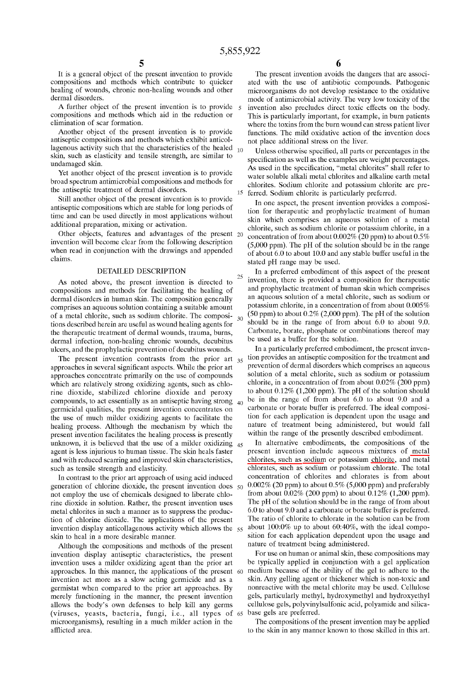25

30

It is a general object of the present invention to provide compositions and methods which contribute to quicker healing of wounds, chronic non-healing wounds and other dermal disorders.

A further object of the present invention is to provide compositions and methods which aid in the reduction or elimination of scar formation.

Another object of the present invention is to provide antiseptic compositions and methods which exhibit anticollagenous activity such that the characteristics of the healed  $_{10}$ skin, such as elasticity and tensile strength, are similar to undamaged skin.

Yet another object of the present invention is to provide broad spectrum antimicrobial compositions and methods for the antiseptic treatment of dermal disorders.

Still another object of the present invention is to provide antiseptic compositions which are stable for long periods of time and can be used directly in most applications without additional preparation, mixing or activation.

Other objects, features and advantages of the present 20 invention will become clear from the following description when read in conjunction with the drawings and appended claims.

#### DETAlLED DESCRIPTlON

As noted aboye, the present invention is directed to compositions and methods for facilitating the healing of dermal disorders in human skin. The composition generally comprises an aqueous solution containing a suitable amount of a metal chlorite, such as sodium chlorite. The compositions described herein are useful as wound healing agents for the therapeutic treatment of dermal wounds, trauma, bums, dermal infection, non-healing chronic wounds, decubitus ulcers, and the prophylactic prevention of decubitus wounds.

The present invention contrasts from the prior art  $35$ approaches in several significant aspects. While the prior art approaches concentrate primarily on the use of compounds which are relatively strong oxidizing agents, such as chlorine dioxide, stabilized chlorine dioxide and peroxy compounds, to act essentially as an antiseptic having strong  $_{40}$ germicidal qualities, the present invention concentrates on the use of much milder oxidizing agents to facilitate the healing process. Although the mechanism by which the present invention facilitates the healing process is presently unknown, it is believed that the use of a milder oxidizing  $_{45}$ agent is less injurious to human tissue. The skin heals faster and with reduced scarring and improved skin characteristics, such as tensile strength and elasticity.

In contrast to the prior art approach of using acid induced generation of chlorine dioxide, the present invention does 50 not employ the use of chemicals designed to liberate chlorine dioxide in solution. Rather, the present invention uses metal chlorites in such a manner as to suppress the production of chlorine dioxide. The applications of the present invention display anticollagenous activity which allows the 55 skin to heal in a more desirable manner.

Although the compositions and methods of the present invention display antiseptic characteristics, the present invention uses a milder oxidizing agent than the prior art approaches. In this manner, the applications of the present 60 invention act more as a slow acting germicide and as a germistat when compared to the prior art approaches. By merely functioning in the manner, the present invention allows the body's own defenses to help kill any germs (viruses, yeasts, bacteria, fungi, i.e., all types of 65 base gels are preferred. microorganisms), resulting in a much milder action in the afflicted area.

The present invention avoids the dangers that are associated with the use of antibiotic compounds. Pathogenic microorganisms do not develop resistance to the oxidative mode of antimicrobial activity. The very low toxicity of the invention also precludes direct toxic effects on the body. This is particularly important, for example, in bum patients where the toxins from the bum wound can stress patient liver functions. The mild oxidative action of the invention does not place additional stress on the liver.

Unless otherwise specified, all parts or percentages in the specification as well as the examples are weight percentages. As used in the specification, "metal chlorites" shall refer to water soluble alkali metal chlorites and alkaline earth metal chlorites. Sodium chlorite and potassium chlorite are pre-15 ferred. Sodium chlorite is particularly preferred.

In one aspect, the present invention provides a composition for therapeutic and prophylactic treatment of human skin which comprises an aqueous solution of a metal chlorite, such as sodium chlorite or potassium chlorite, in a concentration of from about 0.002% (20 ppm) to about 0.5% (5,000 ppm). The pH of the solution should be in the range of about 6.0 to about 10.0 and any stable buffer useful in the stated pH range may be used.

In a preferred embodiment of this aspect of the present invention, there is provided a composition for therapeutic and prophylactic treatment of human skin which comprises an aqueous solution of a metal chlorite, such as sodium or potassium chlorite, in a concentration of from about 0.005%  $(50$  ppm) to about  $0.2\%$  (2,000 ppm). The pH of the solution should be in the range of from about 6.0 to about 9.0. Carbonate, borate, phosphate or combinations thereof may be used as a buffer for the solution.

In a particularly preferred embodiment, the present invention provides an antiseptic composition for the treatment and prevention of dermal disorders which comprises an aqueous solution of a metal chlorite, such as sodium or potassium chlorite, in a concentration of from about 0.02% (200 ppm) to about 0.12% (1,200 ppm). The pH of the solution should be in the range of from about 6.0 to about 9.0 and a carbonate or borate buffer is preferred. The ideal composition for each application is dependent upon the usage and nature of treatment being administered, but would fall within the range of the presently described embodiment.

In altemative embodiments, the compositions of the present invention include aqueous mixtures of metal chlorites, such as sodium or potassium chlorite, and metal chlorates, such as sodium or potassium chlorate. The total concentration of chlorites and chlorates is from about 0.002% (20 ppm) to about 0.5% (5,000 ppm) and preferably from about  $0.02\%$  (200 ppm) to about  $0.12\%$  (1,200 ppm). The pH of the solution should be in the range of from about 6.0 to about 9.0 and a carbonate or borate buffer is preferred. The ratio of chlorite to chlorate in the solution can be from about 100:0% up to about 60:40%, with the ideal composition for each application dependent upon the usage and nature of treatment being administered.

For use on human or animal skin, these compositions may be typically applied in conjunction with a gel application medium because of the ability of the gel to adhere to the skin. Any gelling agent or thickener which is non-toxic and nonreactive with the metal chlorite may be used. Cellulose gels, particularly methyl, hydroxymethyl and hydroxyethyl cellulose gels, polyvinylsulfonic acid, polyamide and silica-

The compositions of the present invention may be applied to the skin in any manner known to those skilled in this art.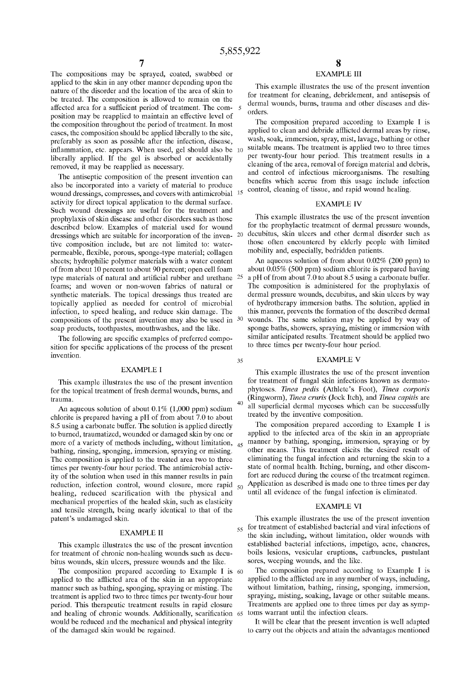35

40

The compositions may be sprayed, coated, swabbed or applied to the skin in any other manner depending upon the nature of the disorder and the location of the area of skin to be treated. The composition is allowed to remain on the affected area for a sufficient period of treatment. The composition may be reapplied to maintain an effective level of the composition throughout the period of treatment. In most cases, the composition should be applied liberally to the site, preferably as soon as possible after the infection, disease, inflammation, etc. appears. When used, gel should also be 10 liberally applied. If the gel is absorbed or accidentally removed, it may be reapplied as necessary.

The antiseptic composition of the present invention can also be incorporated into a variety of material to produce wound dressings, compresses, and covers with antimicrobial activity for direct topical application to the dermal surface. Such wound dressings are useful for the treatment and prophylaxis of skin disease and other disorders such as those described below. Examples of material used for wound dressings which are suitable for incorporation of the inven- 20 tive composition include, but are not limited to: waterpermeable, flexible, porous, sponge-type material; collagen sheets; hydrophilic polymer materials with a water content of from about 10 percent to about 90 percent; open cell foam type materials of natural and artificial rubber and urethane 25 foams; and woven or non-woven fabrics of natural or synthetic materials. The topical dressings thus treated are topically applied as needed for control of microbial infection, to speed healing, and reduce skin damage. The compositions of the present invention may also be used in 30 soap products, toothpastes, mouthwashes, and the like.

The following are specific examples of preferred composition for specific applications of the process of the present invention.

#### EXAMPLE I

This example illustrates the use of the present invention for the topical treatment of fresh dermal wounds, burns, and trauma.

An aqueous solution of about  $0.1\%$  (1,000 ppm) sodium chlorite is prepared having a pH of from about 7.0 to about 8.5 using a carbonate buffer. The solution is applied directly to burned, traumatized, wounded or damaged skin by one or more of a variety of methods including, without limitation, 45 bathing, rinsing, sponging, immersion, spraying or misting. The composition is applied to the treated area two to three times per twenty-four hour period. The antimicrobial activity of the solution when used in this manner results in pain reduction, infection control, wound closure, more rapid  $\zeta_0$ healing, reduced scarification with the physical and mechanical properties of the healed skin, such as elasticity and tensile strength, being nearly identical to that of the patent's undamaged skin.

#### EXAMPLE 11

This example illustrates the use of the present invention for treatment of chronic non-healing wounds such as decubitus wounds, skin ulcers, pressure wounds and the like.

The composition prepared according to Example I is 60 applied to the afilicted area of the skin in an appropriate manner such as bathing, sponging, spraying or misting. The treatment is applied two to three times per twenty-four hour period. This therapeutic treatment results in rapid closure and healing of chronic wounds. Additionally, scarification 65 toms warrant until the infection clears. would be reduced and the mechanical and physical integrity of the damaged skin would be regained.

# EXAMPLE III

This example illustrates the use of the present invention for treatment for cleaning, debridement, and antisepsis of dermal wounds, burns, trauma and other diseases and disorders.

The composition prepared according to Example I is applied to clean and debride afflicted dermal areas by rinse, wash, soak, immersion, spray, mist, lavage, bathing or other suitable means. The treatment is applied two to three times per twenty-four hour period. This treatment results in a cleaning of the area, removal of foreign material and debris, and control of infectious microorganisms. The resulting benefits which accrue from this usage include infection control, cleaning of tissue, and rapid wound healing.

#### EXAMPLE IV

This example illustrates the use of the present invention for the prophylactic treatment of dermal pressure wounds, decubitus, skin ulcers and other dermal disorder such as those often encountered by elderly people with limited mobility and, especially, bedridden patients.

An aqueous solution of from about 0.02% (200 ppm) to about 0.05% (500 ppm) sodium chlorite is prepared having a pH of from about 7.0 to about 8.5 using a carbonate buffer. The composition is administered for the prophylaxis of dermal pressure wounds, decubitus, and skin ulcers by way of hydrotherapy immersion baths. The solution, applied in this manner, prevents the formation of the described dermal wounds. The same solution may be applied by way of sponge baths, showers, spraying, misting or immersion with similar anticipated results. Treatment should be applied two to three times per twenty-four hour period.

### EXAMPLE V

This example illustrates the use of the present invention for treatment of fungal skin infections known as dermatophytoses. *Tinea pedis* (Athlete's Foot), *Tinea corporis*  (Ringworm), *Tinea cruris* (Jock Itch), and *Tinea capitis* are all superficial dermal mycoses which can be successfully treated by the inventive composition.

The composition prepared according to Example I is applied to the infected area of the skin in an appropriate manner by bathing, sponging, immersion, spraying or by other means. This treatment elicits the desired result of eliminating the fungal infection and returning the skin to a state of normal health. Itching, burning, and other discomfort are reduced during the course of the treatment regimen. Application as described is made one to three times per day until all evidence of the fungal infection is eliminated.

#### EXAMPLE VI

This example illustrates the use of the present invention  $55$  for treatment of established bacterial and viral infections of the skin including, without limitation, older wounds with established bacterial infections, impetigo, acne, chancres, boils lesions, vesicular eruptions, carbuncles, pustulant sores, weeping wounds, and the like.

The composition prepared according to Example I is applied to the afflicted are in any number of ways, including, without limitation, bathing, rinsing, sponging, immersion, spraying, misting, soaking, lavage or other suitable means. Treatments are applied one to three times per day as symp-

It will be clear that the present invention is well adapted to carry out the objects and attain the advantages mentioned